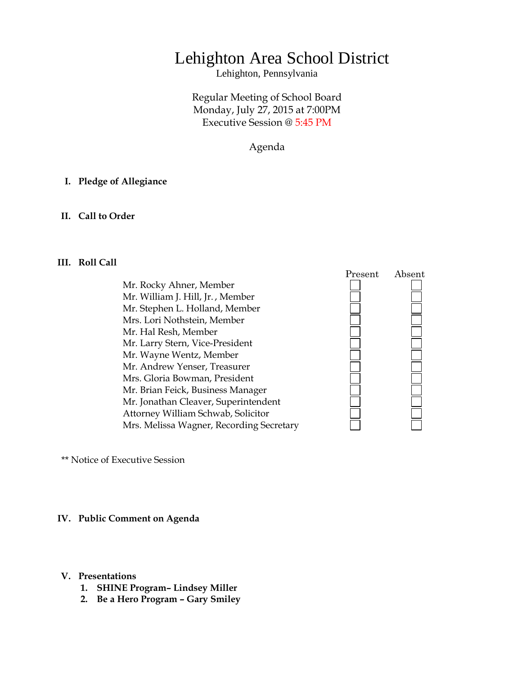# Lehighton Area School District

Lehighton, Pennsylvania

Regular Meeting of School Board Monday, July 27, 2015 at 7:00PM Executive Session @ 5:45 PM

Agenda

## **I. Pledge of Allegiance**

## **II. Call to Order**

## **III. Roll Call**

Mr. Rocky Ahner, Member Mr. William J. Hill, Jr. , Member Mr. Stephen L. Holland, Member Mrs. Lori Nothstein, Member Mr. Hal Resh, Member Mr. Larry Stern, Vice-President Mr. Wayne Wentz, Member Mr. Andrew Yenser, Treasurer Mrs. Gloria Bowman, President Mr. Brian Feick, Business Manager Mr. Jonathan Cleaver, Superintendent Attorney William Schwab, Solicitor Mrs. Melissa Wagner, Recording Secretary



\*\* Notice of Executive Session

### **IV. Public Comment on Agenda**

#### **V. Presentations**

- **1. SHINE Program– Lindsey Miller**
- **2. Be a Hero Program – Gary Smiley**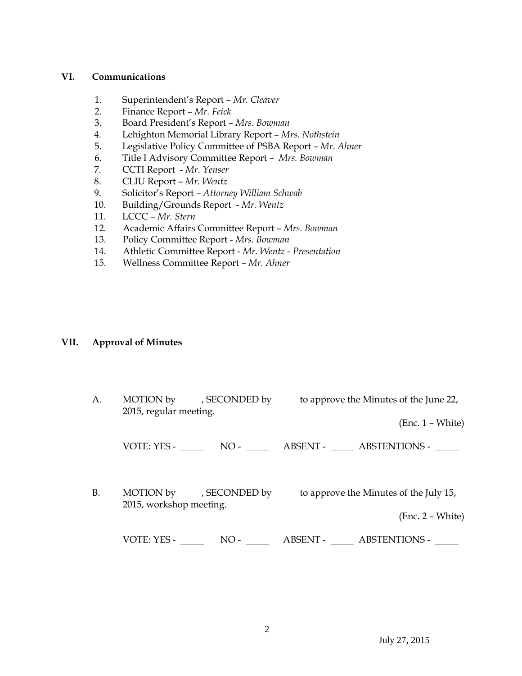## **VI. Communications**

- 1. Superintendent's Report *Mr. Cleaver*
- 2. Finance Report *Mr. Feick*
- 3. Board President's Report *Mrs. Bowman*
- 4. Lehighton Memorial Library Report *Mrs. Nothstein*
- 5. Legislative Policy Committee of PSBA Report *Mr. Ahner*
- 6. Title I Advisory Committee Report *Mrs. Bowman*
- 7. CCTI Report *Mr. Yenser*
- 8. CLIU Report *Mr. Wentz*
- 9. Solicitor's Report *Attorney William Schwab*
- 10. Building/Grounds Report *Mr. Wentz*
- 11. LCCC *– Mr. Stern*
- 12. Academic Affairs Committee Report *Mrs. Bowman*
- 13. Policy Committee Report *Mrs. Bowman*
- 14. Athletic Committee Report *Mr. Wentz - Presentation*
- 15. Wellness Committee Report *Mr. Ahner*

## **VII. Approval of Minutes**

A. MOTION by , SECONDED by to approve the Minutes of the June 22, 2015, regular meeting. (Enc. 1 – White) VOTE: YES - NO - ABSENT - ABSTENTIONS - B. MOTION by , SECONDED by to approve the Minutes of the July 15, 2015, workshop meeting. (Enc. 2 – White) VOTE: YES - NO - NO - ABSENT - ABSTENTIONS -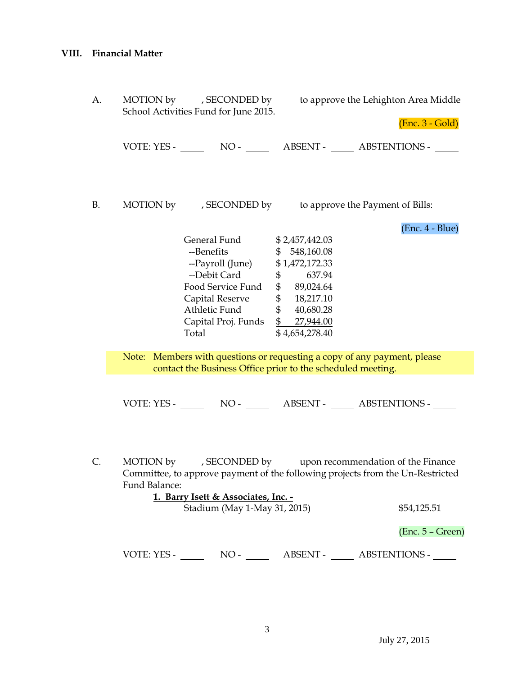| А. | School Activities Fund for June 2015.                                                                                                   |                                                                                                                                                                                                              | MOTION by , SECONDED by to approve the Lehighton Area Middle<br>$(Enc. 3 - Gold)$ |                                                                                                                                                                |  |
|----|-----------------------------------------------------------------------------------------------------------------------------------------|--------------------------------------------------------------------------------------------------------------------------------------------------------------------------------------------------------------|-----------------------------------------------------------------------------------|----------------------------------------------------------------------------------------------------------------------------------------------------------------|--|
|    |                                                                                                                                         |                                                                                                                                                                                                              |                                                                                   |                                                                                                                                                                |  |
| В. |                                                                                                                                         | MOTION by , SECONDED by to approve the Payment of Bills:                                                                                                                                                     |                                                                                   |                                                                                                                                                                |  |
|    |                                                                                                                                         | General Fund \$2,457,442.03<br>--Benefits<br>--Payroll (June) \$1,472,172.33<br>--Debit Card \$ 637.94<br>Food Service Fund<br>Capital Reserve<br>Athletic Fund<br>Capital Proj. Funds \$ 27,944.00<br>Total | \$548,160.08<br>\$89,024.64<br>\$ 18,217.10<br>\$40,680.28<br>\$4,654,278.40      | (Enc. 4 - Blue)                                                                                                                                                |  |
|    | Note: Members with questions or requesting a copy of any payment, please<br>contact the Business Office prior to the scheduled meeting. |                                                                                                                                                                                                              |                                                                                   |                                                                                                                                                                |  |
|    |                                                                                                                                         |                                                                                                                                                                                                              |                                                                                   |                                                                                                                                                                |  |
|    | Fund Balance:                                                                                                                           | 1. Barry Isett & Associates, Inc. -<br>Stadium (May 1-May 31, 2015)                                                                                                                                          |                                                                                   | C. MOTION by , SECONDED by upon recommendation of the Finance<br>Committee, to approve payment of the following projects from the Un-Restricted<br>\$54,125.51 |  |
|    |                                                                                                                                         |                                                                                                                                                                                                              |                                                                                   | $(Enc. 5 - Green)$                                                                                                                                             |  |
|    |                                                                                                                                         |                                                                                                                                                                                                              |                                                                                   | VOTE: YES - NO - ABSENT - ABSTENTIONS -                                                                                                                        |  |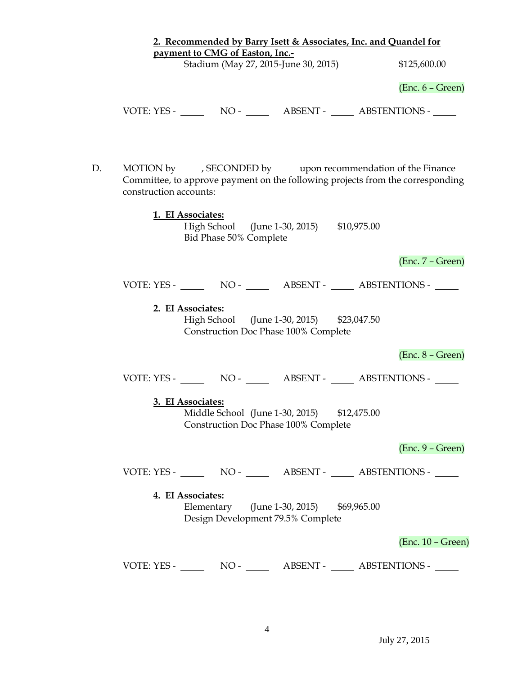| 2. Recommended by Barry Isett & Associates, Inc. and Quandel for |                                                                                     |                                                                                                                                              |  |  |
|------------------------------------------------------------------|-------------------------------------------------------------------------------------|----------------------------------------------------------------------------------------------------------------------------------------------|--|--|
| payment to CMG of Easton, Inc.-                                  |                                                                                     | \$125,600.00                                                                                                                                 |  |  |
|                                                                  | Stadium (May 27, 2015-June 30, 2015)                                                |                                                                                                                                              |  |  |
|                                                                  |                                                                                     | $(Enc. 6 - Green)$                                                                                                                           |  |  |
|                                                                  |                                                                                     | VOTE: YES - NO - NO - NO - ABSENT - ABSTENTIONS -                                                                                            |  |  |
| D.<br>construction accounts:                                     |                                                                                     | MOTION by , SECONDED by upon recommendation of the Finance<br>Committee, to approve payment on the following projects from the corresponding |  |  |
| 1. EI Associates:                                                | High School (June 1-30, 2015) \$10,975.00<br>Bid Phase 50% Complete                 |                                                                                                                                              |  |  |
|                                                                  |                                                                                     | $(Enc. 7 - Green)$                                                                                                                           |  |  |
|                                                                  |                                                                                     | VOTE: YES - NO - ABSENT - ABSTENTIONS -                                                                                                      |  |  |
| 2. EI Associates:                                                | High School (June 1-30, 2015) \$23,047.50<br>Construction Doc Phase 100% Complete   |                                                                                                                                              |  |  |
|                                                                  |                                                                                     | $(Enc. 8 - Green)$                                                                                                                           |  |  |
|                                                                  |                                                                                     | VOTE: YES - NO - NO - ABSENT - ABSTENTIONS -                                                                                                 |  |  |
| 3. EI Associates:                                                | Middle School (June 1-30, 2015) \$12,475.00<br>Construction Doc Phase 100% Complete |                                                                                                                                              |  |  |
|                                                                  |                                                                                     | $(Enc. 9 - Green)$                                                                                                                           |  |  |
|                                                                  |                                                                                     | VOTE: YES - NO - ABSENT - ABSTENTIONS -                                                                                                      |  |  |
| 4. EI Associates:                                                | Elementary (June 1-30, 2015) \$69,965.00<br>Design Development 79.5% Complete       |                                                                                                                                              |  |  |
|                                                                  |                                                                                     | $(Enc. 10 - Green)$                                                                                                                          |  |  |
|                                                                  |                                                                                     | VOTE: YES - NO - NO - ABSENT - ABSTENTIONS -                                                                                                 |  |  |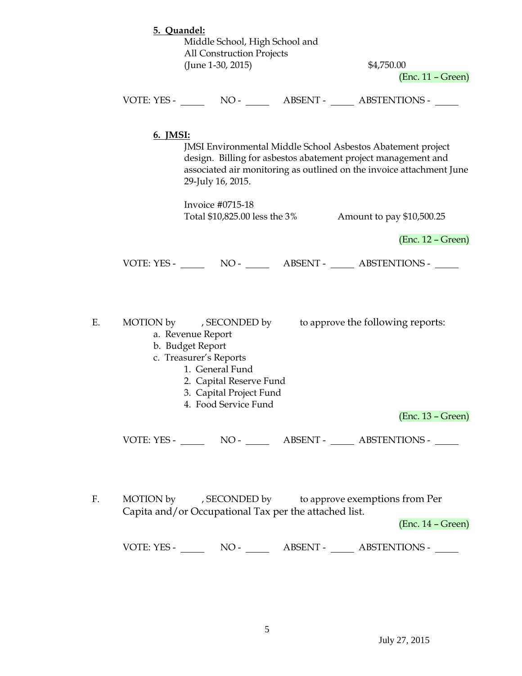|    | 5. Quandel:<br>Middle School, High School and<br><b>All Construction Projects</b><br>(June 1-30, 2015)                                                              |                               | \$4,750.00<br>$(Enc. 11 - Green)$                                                                                                                                                                           |                     |
|----|---------------------------------------------------------------------------------------------------------------------------------------------------------------------|-------------------------------|-------------------------------------------------------------------------------------------------------------------------------------------------------------------------------------------------------------|---------------------|
|    | VOTE: YES - NO - NO - NO - ABSENT - ABSTENTIONS -                                                                                                                   |                               |                                                                                                                                                                                                             |                     |
|    | 6. <b>IMSI:</b><br>29-July 16, 2015.                                                                                                                                |                               | <b>JMSI Environmental Middle School Asbestos Abatement project</b><br>design. Billing for asbestos abatement project management and<br>associated air monitoring as outlined on the invoice attachment June |                     |
|    | Invoice #0715-18                                                                                                                                                    | Total \$10,825.00 less the 3% | Amount to pay \$10,500.25                                                                                                                                                                                   |                     |
|    |                                                                                                                                                                     |                               |                                                                                                                                                                                                             | $(Enc. 12 - Green)$ |
|    | VOTE: YES - NO - ABSENT - ABSTENTIONS -                                                                                                                             |                               |                                                                                                                                                                                                             |                     |
| Е. | MOTION by , SECONDED by<br>a. Revenue Report<br>b. Budget Report<br>c. Treasurer's Reports<br>1. General Fund<br>2. Capital Reserve Fund<br>3. Capital Project Fund |                               | to approve the following reports:                                                                                                                                                                           |                     |
|    | 4. Food Service Fund                                                                                                                                                |                               |                                                                                                                                                                                                             | $(Enc. 13 - Green)$ |
|    | VOTE: YES - NO - NO - ABSENT - ABSTENTIONS -                                                                                                                        |                               |                                                                                                                                                                                                             |                     |
| F. | MOTION by , SECONDED by to approve exemptions from Per<br>Capita and/or Occupational Tax per the attached list.                                                     |                               |                                                                                                                                                                                                             | $(Enc. 14 - Green)$ |
|    |                                                                                                                                                                     |                               |                                                                                                                                                                                                             |                     |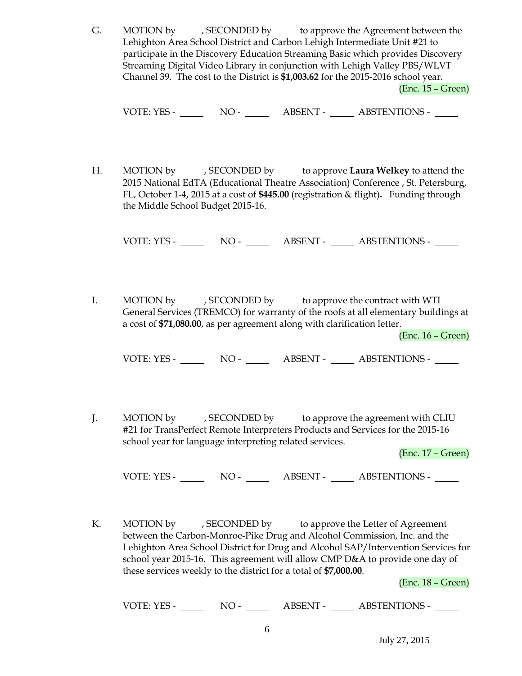G. MOTION by , SECONDED by to approve the Agreement between the Lehighton Area School District and Carbon Lehigh Intermediate Unit #21 to participate in the Discovery Education Streaming Basic which provides Discovery Streaming Digital Video Library in conjunction with Lehigh Valley PBS/WLVT Channel 39. The cost to the District is **\$1,003.62** for the 2015-2016 school year. (Enc. 15 – Green)

VOTE: YES - NO - NO - ABSENT - ABSTENTIONS - NO

H. MOTION by , SECONDED by to approve **Laura Welkey** to attend the 2015 National EdTA (Educational Theatre Association) Conference , St. Petersburg, FL, October 1-4, 2015 at a cost of **\$445.00** (registration & flight)**.** Funding through the Middle School Budget 2015-16.

VOTE: YES - NO - NO - ABSENT - ABSTENTIONS -

I. MOTION by , SECONDED by to approve the contract with WTI General Services (TREMCO) for warranty of the roofs at all elementary buildings at a cost of **\$71,080.00**, as per agreement along with clarification letter.

(Enc. 16 – Green)

VOTE: YES - NO - NO - ABSENT - ABSTENTIONS -

J. MOTION by , SECONDED by to approve the agreement with CLIU #21 for TransPerfect Remote Interpreters Products and Services for the 2015-16 school year for language interpreting related services.

(Enc. 17 – Green)

VOTE: YES - NO - NO - ABSENT - ABSTENTIONS -

K. MOTION by , SECONDED by to approve the Letter of Agreement between the Carbon-Monroe-Pike Drug and Alcohol Commission, Inc. and the Lehighton Area School District for Drug and Alcohol SAP/Intervention Services for school year 2015-16. This agreement will allow CMP D&A to provide one day of these services weekly to the district for a total of **\$7,000.00**.

(Enc. 18 – Green)

VOTE: YES - NO - NO - ABSENT - ABSTENTIONS -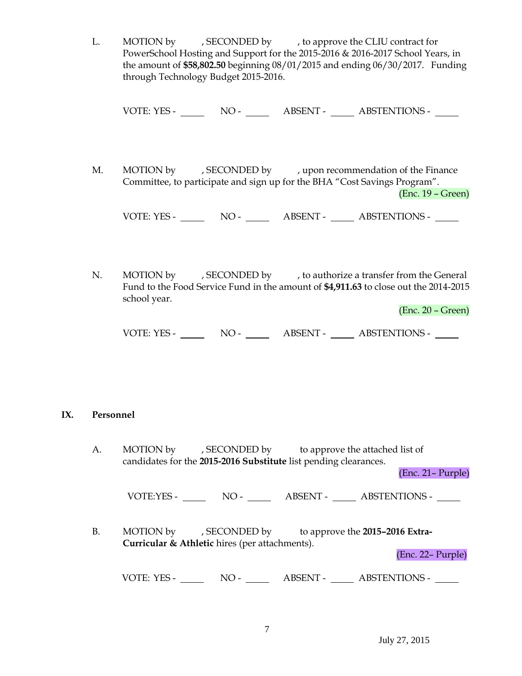L. MOTION by , SECONDED by , to approve the CLIU contract for PowerSchool Hosting and Support for the 2015-2016 & 2016-2017 School Years, in the amount of **\$58,802.50** beginning 08/01/2015 and ending 06/30/2017. Funding through Technology Budget 2015-2016.

VOTE: YES - NO - NO - ABSENT - ABSTENTIONS -

M. MOTION by , SECONDED by , upon recommendation of the Finance Committee, to participate and sign up for the BHA "Cost Savings Program". (Enc. 19 – Green)

VOTE: YES - NO - ABSENT - ABSTENTIONS -

N. MOTION by , SECONDED by , to authorize a transfer from the General Fund to the Food Service Fund in the amount of **\$4,911.63** to close out the 2014-2015 school year.

(Enc. 20 – Green)

| VOTE: YES - | NO - | <b>ABSENT -</b> | <b>ABSTENTIONS -</b> |
|-------------|------|-----------------|----------------------|
|             |      |                 |                      |

## **IX. Personnel**

A. MOTION by , SECONDED by to approve the attached list of candidates for the **2015-2016 Substitute** list pending clearances.

(Enc. 21– Purple)

VOTE:YES - NO - NO - ABSENT - ABSTENTIONS -

B. MOTION by , SECONDED by to approve the **2015–2016 Extra-Curricular & Athletic** hires (per attachments).

(Enc. 22– Purple)

VOTE: YES - NO - ABSENT - ABSTENTIONS -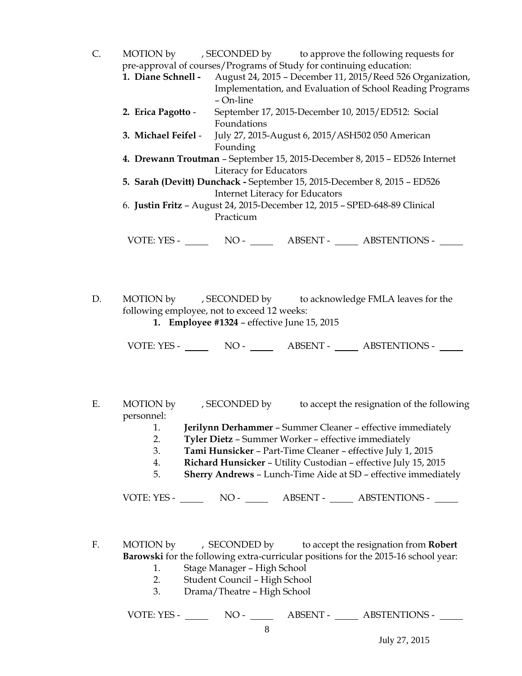- C. MOTION by , SECONDED by to approve the following requests for pre-approval of courses/Programs of Study for continuing education:
	- **1. Diane Schnell -** August 24, 2015 December 11, 2015/Reed 526 Organization, Implementation, and Evaluation of School Reading Programs – On-line
	- **2. Erica Pagotto** September 17, 2015-December 10, 2015/ED512: Social Foundations
	- **3. Michael Feifel** July 27, 2015-August 6, 2015/ASH502 050 American Founding
	- **4. Drewann Troutman** September 15, 2015-December 8, 2015 ED526 Internet Literacy for Educators
	- **5. Sarah (Devitt) Dunchack -** September 15, 2015-December 8, 2015 ED526 Internet Literacy for Educators
	- 6. **Justin Fritz** August 24, 2015-December 12, 2015 SPED-648-89 Clinical Practicum

VOTE: YES - NO - ABSENT - ABSTENTIONS -

D. MOTION by , SECONDED by to acknowledge FMLA leaves for the following employee, not to exceed 12 weeks: **1. Employee #1324** – effective June 15, 2015

VOTE: YES - NO - ABSENT - ABSTENTIONS -

- E. MOTION by , SECONDED by to accept the resignation of the following personnel:
	- 1. **Jerilynn Derhammer** Summer Cleaner effective immediately
	- 2. **Tyler Dietz** Summer Worker effective immediately
	- 3. **Tami Hunsicker** Part-Time Cleaner effective July 1, 2015
	- 4. **Richard Hunsicker** Utility Custodian effective July 15, 2015
	- 5. **Sherry Andrews** Lunch-Time Aide at SD effective immediately

VOTE: YES - NO - ABSENT - ABSTENTIONS -

F. MOTION by , SECONDED by to accept the resignation from **Robert Barowski** for the following extra-curricular positions for the 2015-16 school year:

- 1. Stage Manager High School
- 2. Student Council High School
- 3. Drama/Theatre High School

VOTE: YES - NO - NO - ABSENT - ABSTENTIONS -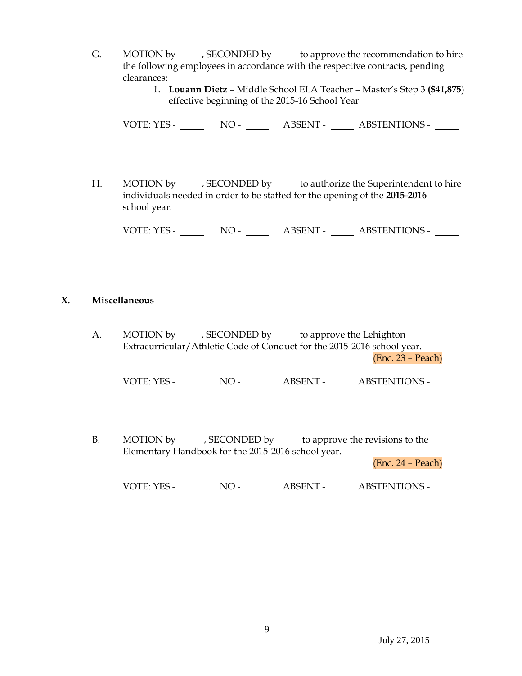- G. MOTION by , SECONDED by to approve the recommendation to hire the following employees in accordance with the respective contracts, pending clearances:
	- 1. **Louann Dietz** Middle School ELA Teacher Master's Step 3 **(\$41,875**) effective beginning of the 2015-16 School Year

VOTE: YES - NO - NO - ABSENT - ABSTENTIONS -

H. MOTION by , SECONDED by to authorize the Superintendent to hire individuals needed in order to be staffed for the opening of the **2015-2016** school year.

VOTE: YES - NO - ABSENT - ABSTENTIONS -

## **X. Miscellaneous**

A. MOTION by , SECONDED by to approve the Lehighton Extracurricular/Athletic Code of Conduct for the 2015-2016 school year. (Enc. 23 – Peach)

VOTE: YES - NO - NO - ABSENT - ABSTENTIONS -

B. MOTION by , SECONDED by to approve the revisions to the Elementary Handbook for the 2015-2016 school year.

(Enc. 24 – Peach)

VOTE: YES - NO - NO - ABSENT - ABSTENTIONS -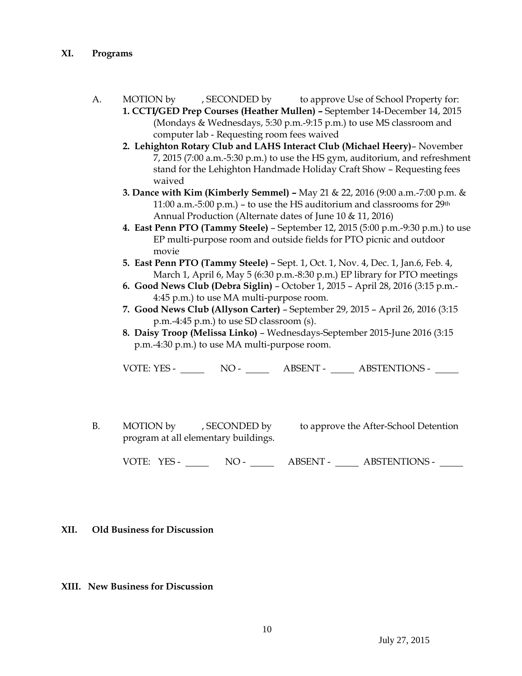- A. MOTION by , SECONDED by to approve Use of School Property for:
	- **1. CCTI/GED Prep Courses (Heather Mullen) –** September 14-December 14, 2015 (Mondays & Wednesdays, 5:30 p.m.-9:15 p.m.) to use MS classroom and computer lab - Requesting room fees waived
	- **2. Lehighton Rotary Club and LAHS Interact Club (Michael Heery)** November 7, 2015 (7:00 a.m.-5:30 p.m.) to use the HS gym, auditorium, and refreshment stand for the Lehighton Handmade Holiday Craft Show – Requesting fees waived
	- **3. Dance with Kim (Kimberly Semmel) –** May 21 & 22, 2016 (9:00 a.m.-7:00 p.m. & 11:00 a.m.-5:00 p.m.) – to use the HS auditorium and classrooms for 29th Annual Production (Alternate dates of June 10 & 11, 2016)
	- **4. East Penn PTO (Tammy Steele)**  September 12, 2015 (5:00 p.m.-9:30 p.m.) to use EP multi-purpose room and outside fields for PTO picnic and outdoor movie
	- **5. East Penn PTO (Tammy Steele)**  Sept. 1, Oct. 1, Nov. 4, Dec. 1, Jan.6, Feb. 4, March 1, April 6, May 5 (6:30 p.m.-8:30 p.m.) EP library for PTO meetings
	- **6. Good News Club (Debra Siglin)** October 1, 2015 April 28, 2016 (3:15 p.m.- 4:45 p.m.) to use MA multi-purpose room.
	- **7. Good News Club (Allyson Carter)**  September 29, 2015 April 26, 2016 (3:15 p.m.-4:45 p.m.) to use SD classroom (s).
	- **8. Daisy Troop (Melissa Linko)** Wednesdays-September 2015-June 2016 (3:15 p.m.-4:30 p.m.) to use MA multi-purpose room.

VOTE: YES - NO - ABSENT - ABSTENTIONS -

B. MOTION by , SECONDED by to approve the After-School Detention program at all elementary buildings.

VOTE: YES - NO - ABSENT - ABSTENTIONS -

## **XII. Old Business for Discussion**

**XIII. New Business for Discussion**